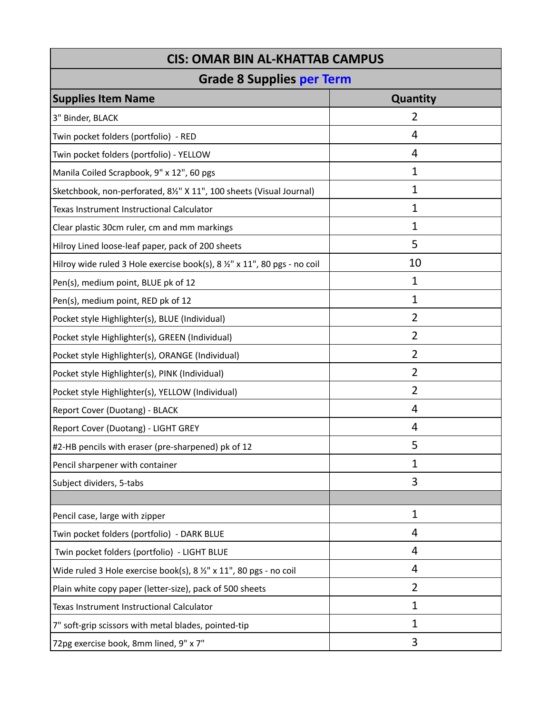| <b>CIS: OMAR BIN AL-KHATTAB CAMPUS</b>                                       |                |  |
|------------------------------------------------------------------------------|----------------|--|
| <b>Grade 8 Supplies per Term</b>                                             |                |  |
| <b>Supplies Item Name</b>                                                    | Quantity       |  |
| 3" Binder, BLACK                                                             | $\overline{2}$ |  |
| Twin pocket folders (portfolio) - RED                                        | 4              |  |
| Twin pocket folders (portfolio) - YELLOW                                     | 4              |  |
| Manila Coiled Scrapbook, 9" x 12", 60 pgs                                    | 1              |  |
| Sketchbook, non-perforated, 81/2" X 11", 100 sheets (Visual Journal)         | $\mathbf{1}$   |  |
| Texas Instrument Instructional Calculator                                    | 1              |  |
| Clear plastic 30cm ruler, cm and mm markings                                 | 1              |  |
| Hilroy Lined loose-leaf paper, pack of 200 sheets                            | 5              |  |
| Hilroy wide ruled 3 Hole exercise book(s), 8 1/2" x 11", 80 pgs - no coil    | 10             |  |
| Pen(s), medium point, BLUE pk of 12                                          | 1              |  |
| Pen(s), medium point, RED pk of 12                                           | 1              |  |
| Pocket style Highlighter(s), BLUE (Individual)                               | $\overline{2}$ |  |
| Pocket style Highlighter(s), GREEN (Individual)                              | $\overline{2}$ |  |
| Pocket style Highlighter(s), ORANGE (Individual)                             | $\overline{2}$ |  |
| Pocket style Highlighter(s), PINK (Individual)                               | $\overline{2}$ |  |
| Pocket style Highlighter(s), YELLOW (Individual)                             | $\overline{2}$ |  |
| Report Cover (Duotang) - BLACK                                               | 4              |  |
| Report Cover (Duotang) - LIGHT GREY                                          | 4              |  |
| #2-HB pencils with eraser (pre-sharpened) pk of 12                           | 5              |  |
| Pencil sharpener with container                                              | 1              |  |
| Subject dividers, 5-tabs                                                     | 3              |  |
|                                                                              |                |  |
| Pencil case, large with zipper                                               | $\mathbf{1}$   |  |
| Twin pocket folders (portfolio) - DARK BLUE                                  | 4              |  |
| Twin pocket folders (portfolio) - LIGHT BLUE                                 | 4              |  |
| Wide ruled 3 Hole exercise book(s), $8\frac{1}{2}$ " x 11", 80 pgs - no coil | 4              |  |
| Plain white copy paper (letter-size), pack of 500 sheets                     | $\overline{2}$ |  |
| Texas Instrument Instructional Calculator                                    | 1              |  |
| 7" soft-grip scissors with metal blades, pointed-tip                         | 1              |  |
| 72pg exercise book, 8mm lined, 9" x 7"                                       | 3              |  |